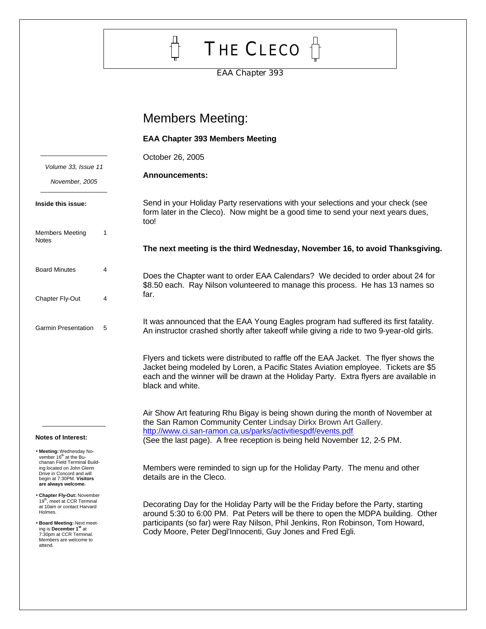|                                                                                                                                                                                                                                                      | THE CLECO                                                                                                                                                                                                                                                                                                               |  |  |  |
|------------------------------------------------------------------------------------------------------------------------------------------------------------------------------------------------------------------------------------------------------|-------------------------------------------------------------------------------------------------------------------------------------------------------------------------------------------------------------------------------------------------------------------------------------------------------------------------|--|--|--|
|                                                                                                                                                                                                                                                      | EAA Chapter 393                                                                                                                                                                                                                                                                                                         |  |  |  |
|                                                                                                                                                                                                                                                      | <b>Members Meeting:</b>                                                                                                                                                                                                                                                                                                 |  |  |  |
|                                                                                                                                                                                                                                                      | <b>EAA Chapter 393 Members Meeting</b>                                                                                                                                                                                                                                                                                  |  |  |  |
|                                                                                                                                                                                                                                                      | October 26, 2005<br><b>Announcements:</b>                                                                                                                                                                                                                                                                               |  |  |  |
| Volume 33, Issue 11<br>November, 2005                                                                                                                                                                                                                |                                                                                                                                                                                                                                                                                                                         |  |  |  |
| Inside this issue:                                                                                                                                                                                                                                   | Send in your Holiday Party reservations with your selections and your check (see<br>form later in the Cleco). Now might be a good time to send your next years dues,<br>too!                                                                                                                                            |  |  |  |
| <b>Members Meeting</b><br>1<br><b>Notes</b>                                                                                                                                                                                                          | The next meeting is the third Wednesday, November 16, to avoid Thanksgiving.                                                                                                                                                                                                                                            |  |  |  |
| <b>Board Minutes</b><br>4                                                                                                                                                                                                                            |                                                                                                                                                                                                                                                                                                                         |  |  |  |
| Chapter Fly-Out<br>4                                                                                                                                                                                                                                 | Does the Chapter want to order EAA Calendars? We decided to order about 24 for<br>\$8.50 each. Ray Nilson volunteered to manage this process. He has 13 names so<br>far.                                                                                                                                                |  |  |  |
|                                                                                                                                                                                                                                                      |                                                                                                                                                                                                                                                                                                                         |  |  |  |
| <b>Garmin Presentation</b><br>5                                                                                                                                                                                                                      | It was announced that the EAA Young Eagles program had suffered its first fatality.<br>An instructor crashed shortly after takeoff while giving a ride to two 9-year-old girls.                                                                                                                                         |  |  |  |
|                                                                                                                                                                                                                                                      | Flyers and tickets were distributed to raffle off the EAA Jacket. The flyer shows the<br>Jacket being modeled by Loren, a Pacific States Aviation employee. Tickets are \$5<br>each and the winner will be drawn at the Holiday Party. Extra flyers are available in<br>black and white.                                |  |  |  |
|                                                                                                                                                                                                                                                      | Air Show Art featuring Rhu Bigay is being shown during the month of November at<br>the San Ramon Community Center Lindsay Dirkx Brown Art Gallery.<br>http://www.ci.san-ramon.ca.us/parks/activitiespdf/events.pdf                                                                                                      |  |  |  |
| <b>Notes of Interest:</b>                                                                                                                                                                                                                            | (See the last page). A free reception is being held November 12, 2-5 PM.                                                                                                                                                                                                                                                |  |  |  |
| • Meeting: Wednesday No-<br>vember 16 <sup>th</sup> at the Bu-<br>chanan Field Terminal Build-<br>ing located on John Glenn<br>Drive in Concord and will<br>begin at 7:30PM. Visitors<br>are always welcome.                                         | Members were reminded to sign up for the Holiday Party. The menu and other<br>details are in the Cleco.                                                                                                                                                                                                                 |  |  |  |
| • Chapter Fly-Out: November<br>19 <sup>th</sup> , meet at CCR Terminal<br>at 10am or contact Harvard<br>Holmes.<br>• Board Meeting: Next meet-<br>ing is December 1 <sup>st</sup> at<br>7:30pm at CCR Terminal.<br>Members are welcome to<br>attend. | Decorating Day for the Holiday Party will be the Friday before the Party, starting<br>around 5:30 to 6:00 PM. Pat Peters will be there to open the MDPA building. Other<br>participants (so far) were Ray Nilson, Phil Jenkins, Ron Robinson, Tom Howard,<br>Cody Moore, Peter Degl'Innocenti, Guy Jones and Fred Egli. |  |  |  |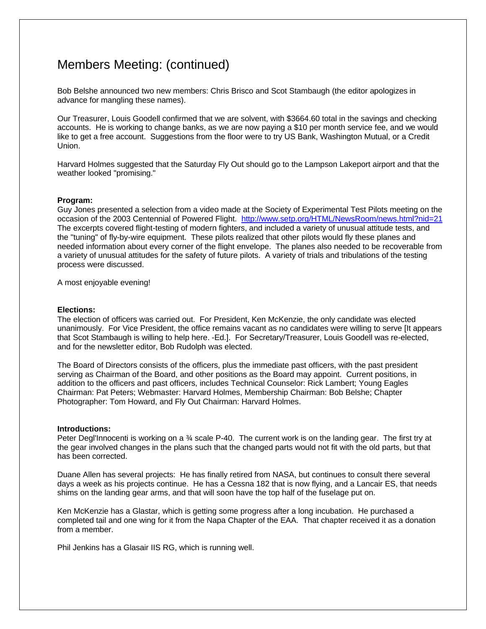### Members Meeting: (continued)

Bob Belshe announced two new members: Chris Brisco and Scot Stambaugh (the editor apologizes in advance for mangling these names).

Our Treasurer, Louis Goodell confirmed that we are solvent, with \$3664.60 total in the savings and checking accounts. He is working to change banks, as we are now paying a \$10 per month service fee, and we would like to get a free account. Suggestions from the floor were to try US Bank, Washington Mutual, or a Credit Union.

Harvard Holmes suggested that the Saturday Fly Out should go to the Lampson Lakeport airport and that the weather looked "promising."

#### **Program:**

Guy Jones presented a selection from a video made at the Society of Experimental Test Pilots meeting on the occasion of the 2003 Centennial of Powered Flight. http://www.setp.org/HTML/NewsRoom/news.html?nid=21 The excerpts covered flight-testing of modern fighters, and included a variety of unusual attitude tests, and the "tuning" of fly-by-wire equipment. These pilots realized that other pilots would fly these planes and needed information about every corner of the flight envelope. The planes also needed to be recoverable from a variety of unusual attitudes for the safety of future pilots. A variety of trials and tribulations of the testing process were discussed.

A most enjoyable evening!

#### **Elections:**

The election of officers was carried out. For President, Ken McKenzie, the only candidate was elected unanimously. For Vice President, the office remains vacant as no candidates were willing to serve [It appears that Scot Stambaugh is willing to help here. -Ed.]. For Secretary/Treasurer, Louis Goodell was re-elected, and for the newsletter editor, Bob Rudolph was elected.

The Board of Directors consists of the officers, plus the immediate past officers, with the past president serving as Chairman of the Board, and other positions as the Board may appoint. Current positions, in addition to the officers and past officers, includes Technical Counselor: Rick Lambert; Young Eagles Chairman: Pat Peters; Webmaster: Harvard Holmes, Membership Chairman: Bob Belshe; Chapter Photographer: Tom Howard, and Fly Out Chairman: Harvard Holmes.

#### **Introductions:**

Peter Degl'Innocenti is working on a ¾ scale P-40. The current work is on the landing gear. The first try at the gear involved changes in the plans such that the changed parts would not fit with the old parts, but that has been corrected.

Duane Allen has several projects: He has finally retired from NASA, but continues to consult there several days a week as his projects continue. He has a Cessna 182 that is now flying, and a Lancair ES, that needs shims on the landing gear arms, and that will soon have the top half of the fuselage put on.

Ken McKenzie has a Glastar, which is getting some progress after a long incubation. He purchased a completed tail and one wing for it from the Napa Chapter of the EAA. That chapter received it as a donation from a member.

Phil Jenkins has a Glasair IIS RG, which is running well.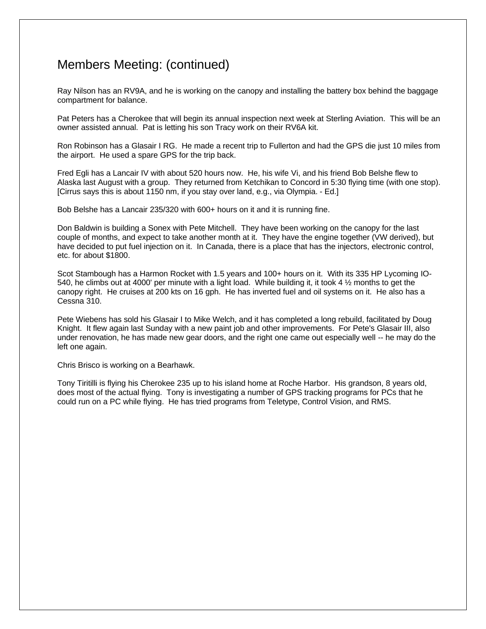### Members Meeting: (continued)

Ray Nilson has an RV9A, and he is working on the canopy and installing the battery box behind the baggage compartment for balance.

Pat Peters has a Cherokee that will begin its annual inspection next week at Sterling Aviation. This will be an owner assisted annual. Pat is letting his son Tracy work on their RV6A kit.

Ron Robinson has a Glasair I RG. He made a recent trip to Fullerton and had the GPS die just 10 miles from the airport. He used a spare GPS for the trip back.

Fred Egli has a Lancair IV with about 520 hours now. He, his wife Vi, and his friend Bob Belshe flew to Alaska last August with a group. They returned from Ketchikan to Concord in 5:30 flying time (with one stop). [Cirrus says this is about 1150 nm, if you stay over land, e.g., via Olympia. - Ed.]

Bob Belshe has a Lancair 235/320 with 600+ hours on it and it is running fine.

Don Baldwin is building a Sonex with Pete Mitchell. They have been working on the canopy for the last couple of months, and expect to take another month at it. They have the engine together (VW derived), but have decided to put fuel injection on it. In Canada, there is a place that has the injectors, electronic control, etc. for about \$1800.

Scot Stambough has a Harmon Rocket with 1.5 years and 100+ hours on it. With its 335 HP Lycoming IO-540, he climbs out at 4000' per minute with a light load. While building it, it took 4  $\frac{1}{2}$  months to get the canopy right. He cruises at 200 kts on 16 gph. He has inverted fuel and oil systems on it. He also has a Cessna 310.

Pete Wiebens has sold his Glasair I to Mike Welch, and it has completed a long rebuild, facilitated by Doug Knight. It flew again last Sunday with a new paint job and other improvements. For Pete's Glasair III, also under renovation, he has made new gear doors, and the right one came out especially well -- he may do the left one again.

Chris Brisco is working on a Bearhawk.

Tony Tiritilli is flying his Cherokee 235 up to his island home at Roche Harbor. His grandson, 8 years old, does most of the actual flying. Tony is investigating a number of GPS tracking programs for PCs that he could run on a PC while flying. He has tried programs from Teletype, Control Vision, and RMS.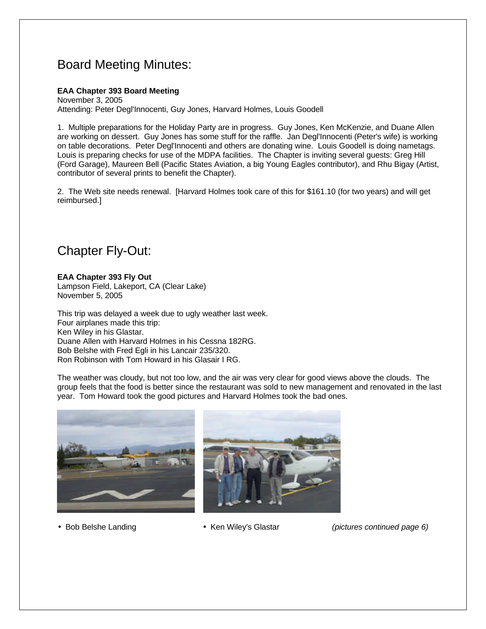### Board Meeting Minutes:

#### **EAA Chapter 393 Board Meeting**

November 3, 2005 Attending: Peter Degl'Innocenti, Guy Jones, Harvard Holmes, Louis Goodell

1. Multiple preparations for the Holiday Party are in progress. Guy Jones, Ken McKenzie, and Duane Allen are working on dessert. Guy Jones has some stuff for the raffle. Jan Degl'Innocenti (Peter's wife) is working on table decorations. Peter Degl'Innocenti and others are donating wine. Louis Goodell is doing nametags. Louis is preparing checks for use of the MDPA facilities. The Chapter is inviting several guests: Greg Hill (Ford Garage), Maureen Bell (Pacific States Aviation, a big Young Eagles contributor), and Rhu Bigay (Artist, contributor of several prints to benefit the Chapter).

2. The Web site needs renewal. [Harvard Holmes took care of this for \$161.10 (for two years) and will get reimbursed.]

### Chapter Fly-Out:

**EAA Chapter 393 Fly Out** Lampson Field, Lakeport, CA (Clear Lake) November 5, 2005

This trip was delayed a week due to ugly weather last week. Four airplanes made this trip: Ken Wiley in his Glastar. Duane Allen with Harvard Holmes in his Cessna 182RG. Bob Belshe with Fred Egli in his Lancair 235/320. Ron Robinson with Tom Howard in his Glasair I RG.

The weather was cloudy, but not too low, and the air was very clear for good views above the clouds. The group feels that the food is better since the restaurant was sold to new management and renovated in the last year. Tom Howard took the good pictures and Harvard Holmes took the bad ones.



• Bob Belshe Landing • Ken Wiley's Glastar *(pictures continued page 6)*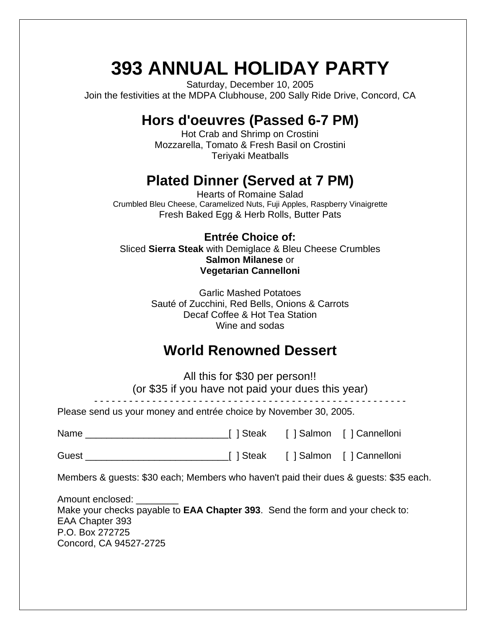# **393 ANNUAL HOLIDAY PARTY**

Saturday, December 10, 2005 Join the festivities at the MDPA Clubhouse, 200 Sally Ride Drive, Concord, CA

## **Hors d'oeuvres (Passed 6-7 PM)**

Hot Crab and Shrimp on Crostini Mozzarella, Tomato & Fresh Basil on Crostini Teriyaki Meatballs

# **Plated Dinner (Served at 7 PM)**

Hearts of Romaine Salad Crumbled Bleu Cheese, Caramelized Nuts, Fuji Apples, Raspberry Vinaigrette Fresh Baked Egg & Herb Rolls, Butter Pats

### **Entrée Choice of:** Sliced **Sierra Steak** with Demiglace & Bleu Cheese Crumbles **Salmon Milanese** or **Vegetarian Cannelloni**

Garlic Mashed Potatoes Sauté of Zucchini, Red Bells, Onions & Carrots Decaf Coffee & Hot Tea Station Wine and sodas

# **World Renowned Dessert**

| All this for \$30 per person!!<br>(or \$35 if you have not paid your dues this year)                                                                                      |  |  |  |  |  |
|---------------------------------------------------------------------------------------------------------------------------------------------------------------------------|--|--|--|--|--|
| Please send us your money and entrée choice by November 30, 2005.                                                                                                         |  |  |  |  |  |
|                                                                                                                                                                           |  |  |  |  |  |
|                                                                                                                                                                           |  |  |  |  |  |
| Members & guests: \$30 each; Members who haven't paid their dues & guests: \$35 each.                                                                                     |  |  |  |  |  |
| Amount enclosed:<br>Make your checks payable to <b>EAA Chapter 393</b> . Send the form and your check to:<br>EAA Chapter 393<br>P.O. Box 272725<br>Concord, CA 94527-2725 |  |  |  |  |  |